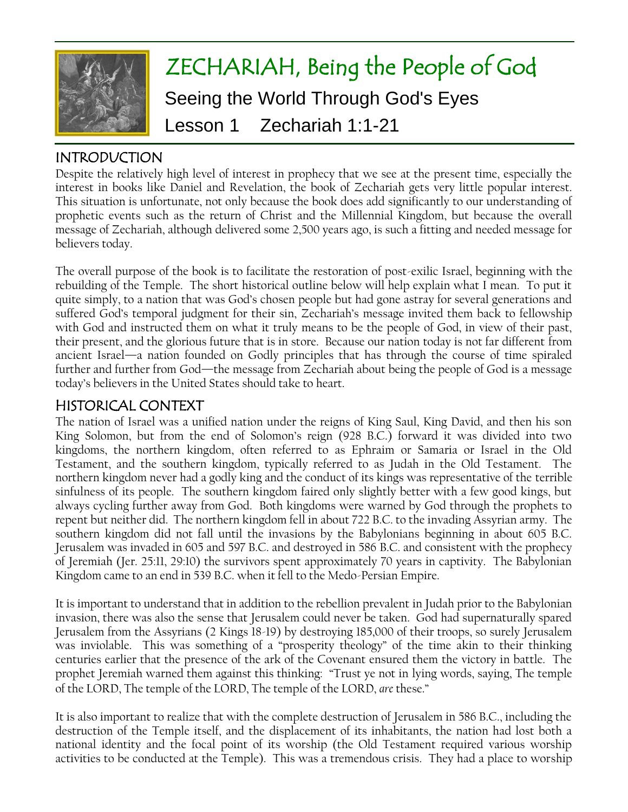

# ZECHARIAH, Being the People of God Seeing the World Through God's Eyes Lesson 1 Zechariah 1:1-21

# INTRODUCTION

Despite the relatively high level of interest in prophecy that we see at the present time, especially the interest in books like Daniel and Revelation, the book of Zechariah gets very little popular interest. This situation is unfortunate, not only because the book does add significantly to our understanding of prophetic events such as the return of Christ and the Millennial Kingdom, but because the overall message of Zechariah, although delivered some 2,500 years ago, is such a fitting and needed message for believers today.

The overall purpose of the book is to facilitate the restoration of post-exilic Israel, beginning with the rebuilding of the Temple. The short historical outline below will help explain what I mean. To put it quite simply, to a nation that was God's chosen people but had gone astray for several generations and suffered God's temporal judgment for their sin, Zechariah's message invited them back to fellowship with God and instructed them on what it truly means to be the people of God, in view of their past, their present, and the glorious future that is in store. Because our nation today is not far different from ancient Israel—a nation founded on Godly principles that has through the course of time spiraled further and further from God—the message from Zechariah about being the people of God is a message today"s believers in the United States should take to heart.

# HISTORICAL CONTEXT

The nation of Israel was a unified nation under the reigns of King Saul, King David, and then his son King Solomon, but from the end of Solomon's reign (928 B.C.) forward it was divided into two kingdoms, the northern kingdom, often referred to as Ephraim or Samaria or Israel in the Old Testament, and the southern kingdom, typically referred to as Judah in the Old Testament. The northern kingdom never had a godly king and the conduct of its kings was representative of the terrible sinfulness of its people. The southern kingdom faired only slightly better with a few good kings, but always cycling further away from God. Both kingdoms were warned by God through the prophets to repent but neither did. The northern kingdom fell in about 722 B.C. to the invading Assyrian army. The southern kingdom did not fall until the invasions by the Babylonians beginning in about 605 B.C. Jerusalem was invaded in 605 and 597 B.C. and destroyed in 586 B.C. and consistent with the prophecy of Jeremiah (Jer. 25:11, 29:10) the survivors spent approximately 70 years in captivity. The Babylonian Kingdom came to an end in 539 B.C. when it fell to the Medo-Persian Empire.

It is important to understand that in addition to the rebellion prevalent in Judah prior to the Babylonian invasion, there was also the sense that Jerusalem could never be taken. God had supernaturally spared Jerusalem from the Assyrians (2 Kings 18-19) by destroying 185,000 of their troops, so surely Jerusalem was inviolable. This was something of a "prosperity theology" of the time akin to their thinking centuries earlier that the presence of the ark of the Covenant ensured them the victory in battle. The prophet Jeremiah warned them against this thinking: "Trust ye not in lying words, saying, The temple of the LORD, The temple of the LORD, The temple of the LORD, *are* these."

It is also important to realize that with the complete destruction of Jerusalem in 586 B.C., including the destruction of the Temple itself, and the displacement of its inhabitants, the nation had lost both a national identity and the focal point of its worship (the Old Testament required various worship activities to be conducted at the Temple). This was a tremendous crisis. They had a place to worship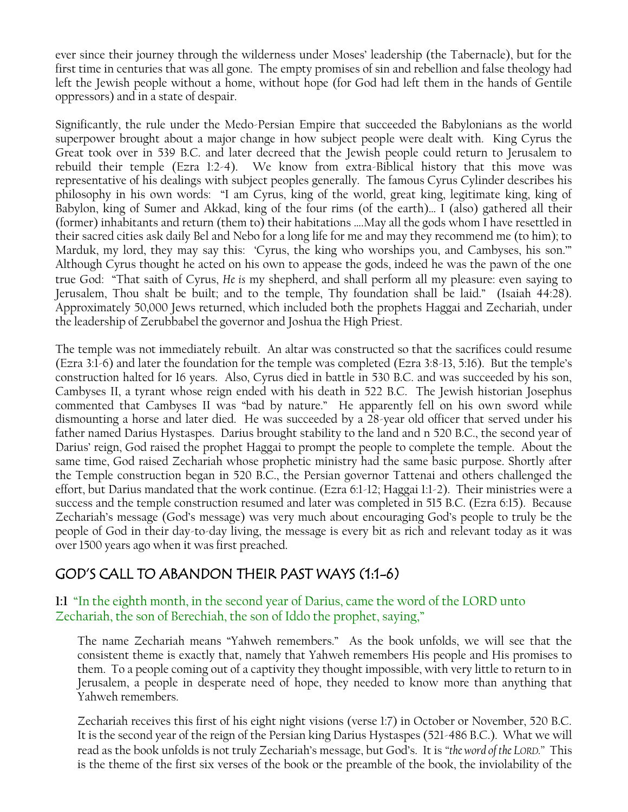ever since their journey through the wilderness under Moses" leadership (the Tabernacle), but for the first time in centuries that was all gone. The empty promises of sin and rebellion and false theology had left the Jewish people without a home, without hope (for God had left them in the hands of Gentile oppressors) and in a state of despair.

Significantly, the rule under the Medo-Persian Empire that succeeded the Babylonians as the world superpower brought about a major change in how subject people were dealt with. King Cyrus the Great took over in 539 B.C. and later decreed that the Jewish people could return to Jerusalem to rebuild their temple (Ezra 1:2-4). We know from extra-Biblical history that this move was representative of his dealings with subject peoples generally. The famous Cyrus Cylinder describes his philosophy in his own words: "I am Cyrus, king of the world, great king, legitimate king, king of Babylon, king of Sumer and Akkad, king of the four rims (of the earth)… I (also) gathered all their (former) inhabitants and return (them to) their habitations ….May all the gods whom I have resettled in their sacred cities ask daily Bel and Nebo for a long life for me and may they recommend me (to him); to Marduk, my lord, they may say this: "Cyrus, the king who worships you, and Cambyses, his son."" Although Cyrus thought he acted on his own to appease the gods, indeed he was the pawn of the one true God: "That saith of Cyrus, *He is* my shepherd, and shall perform all my pleasure: even saying to Jerusalem, Thou shalt be built; and to the temple, Thy foundation shall be laid." (Isaiah 44:28). Approximately 50,000 Jews returned, which included both the prophets Haggai and Zechariah, under the leadership of Zerubbabel the governor and Joshua the High Priest.

The temple was not immediately rebuilt. An altar was constructed so that the sacrifices could resume (Ezra 3:1-6) and later the foundation for the temple was completed (Ezra 3:8-13, 5:16). But the temple"s construction halted for 16 years. Also, Cyrus died in battle in 530 B.C. and was succeeded by his son, Cambyses II, a tyrant whose reign ended with his death in 522 B.C. The Jewish historian Josephus commented that Cambyses II was "bad by nature." He apparently fell on his own sword while dismounting a horse and later died. He was succeeded by a 28-year old officer that served under his father named Darius Hystaspes. Darius brought stability to the land and n 520 B.C., the second year of Darius" reign, God raised the prophet Haggai to prompt the people to complete the temple. About the same time, God raised Zechariah whose prophetic ministry had the same basic purpose. Shortly after the Temple construction began in 520 B.C., the Persian governor Tattenai and others challenged the effort, but Darius mandated that the work continue. (Ezra 6:1-12; Haggai 1:1-2). Their ministries were a success and the temple construction resumed and later was completed in 515 B.C. (Ezra 6:15). Because Zechariah"s message (God"s message) was very much about encouraging God"s people to truly be the people of God in their day-to-day living, the message is every bit as rich and relevant today as it was over 1500 years ago when it was first preached.

# GOD'S CALL TO ABANDON THEIR PAST WAYS (1:1-6)

## **1:1** "In the eighth month, in the second year of Darius, came the word of the LORD unto Zechariah, the son of Berechiah, the son of Iddo the prophet, saying,"

The name Zechariah means "Yahweh remembers." As the book unfolds, we will see that the consistent theme is exactly that, namely that Yahweh remembers His people and His promises to them. To a people coming out of a captivity they thought impossible, with very little to return to in Jerusalem, a people in desperate need of hope, they needed to know more than anything that Yahweh remembers.

Zechariah receives this first of his eight night visions (verse 1:7) in October or November, 520 B.C. It is the second year of the reign of the Persian king Darius Hystaspes (521-486 B.C.). What we will read as the book unfolds is not truly Zechariah"s message, but God"s. It is *"the word of the LORD."* This is the theme of the first six verses of the book or the preamble of the book, the inviolability of the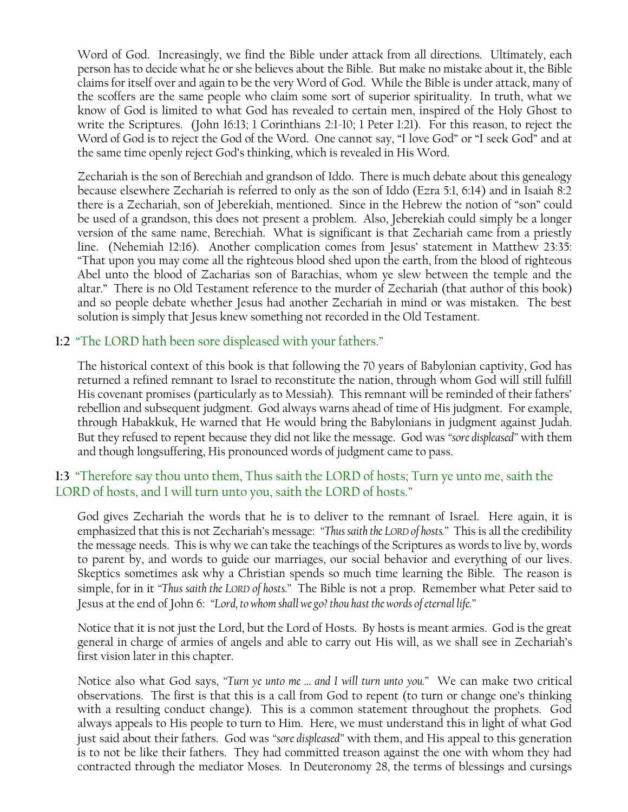Word of God. Increasingly, we find the Bible under attack from all directions. Ultimately, each person has to decide what he or she believes about the Bible. But make no mistake about it, the Bible claims for itself over and again to be the very Word of God. While the Bible is under attack, many of the scoffers are the same people who claim some sort of superior spirituality. In truth, what we know of God is limited to what God has revealed to certain men, inspired of the Holy Ghost to write the Scriptures. (John 16:13; 1 Corinthians 2:1-10; 1 Peter 1:21). For this reason, to reject the Word of God is to reject the God of the Word. One cannot say, "I love God" or "I seek God" and at the same time openly reject God"s thinking, which is revealed in His Word.

Zechariah is the son of Berechiah and grandson of Iddo. There is much debate about this genealogy because elsewhere Zechariah is referred to only as the son of Iddo (Ezra 5:1, 6:14) and in Isaiah 8:2 there is a Zechariah, son of Jeberekiah, mentioned. Since in the Hebrew the notion of "son" could be used of a grandson, this does not present a problem. Also, Jeberekiah could simply be a longer version of the same name, Berechiah. What is significant is that Zechariah came from a priestly line. (Nehemiah 12:16). Another complication comes from Jesus" statement in Matthew 23:35: "That upon you may come all the righteous blood shed upon the earth, from the blood of righteous Abel unto the blood of Zacharias son of Barachias, whom ye slew between the temple and the altar." There is no Old Testament reference to the murder of Zechariah (that author of this book) and so people debate whether Jesus had another Zechariah in mind or was mistaken. The best solution is simply that Jesus knew something not recorded in the Old Testament.

## **1:2** "The LORD hath been sore displeased with your fathers."

The historical context of this book is that following the 70 years of Babylonian captivity, God has returned a refined remnant to Israel to reconstitute the nation, through whom God will still fulfill His covenant promises (particularly as to Messiah). This remnant will be reminded of their fathers" rebellion and subsequent judgment. God always warns ahead of time of His judgment. For example, through Habakkuk, He warned that He would bring the Babylonians in judgment against Judah. But they refused to repent because they did not like the message. God was *"sore displeased"* with them and though longsuffering, His pronounced words of judgment came to pass.

# **1:3** "Therefore say thou unto them, Thus saith the LORD of hosts; Turn ye unto me, saith the LORD of hosts, and I will turn unto you, saith the LORD of hosts."

God gives Zechariah the words that he is to deliver to the remnant of Israel. Here again, it is emphasized that this is not Zechariah"s message: *"Thus saith the LORD of hosts."* This is all the credibility the message needs. This is why we can take the teachings of the Scriptures as words to live by, words to parent by, and words to guide our marriages, our social behavior and everything of our lives. Skeptics sometimes ask why a Christian spends so much time learning the Bible. The reason is simple, for in it *"Thus saith the LORD of hosts."* The Bible is not a prop. Remember what Peter said to Jesus at the end of John 6: *"Lord, to whom shall we go? thou hast the words of eternal life."*

Notice that it is not just the Lord, but the Lord of Hosts. By hosts is meant armies. God is the great general in charge of armies of angels and able to carry out His will, as we shall see in Zechariah"s first vision later in this chapter.

Notice also what God says, *"Turn ye unto me … and I will turn unto you."* We can make two critical observations. The first is that this is a call from God to repent (to turn or change one"s thinking with a resulting conduct change). This is a common statement throughout the prophets. God always appeals to His people to turn to Him. Here, we must understand this in light of what God just said about their fathers. God was *"sore displeased"* with them, and His appeal to this generation is to not be like their fathers. They had committed treason against the one with whom they had contracted through the mediator Moses. In Deuteronomy 28, the terms of blessings and cursings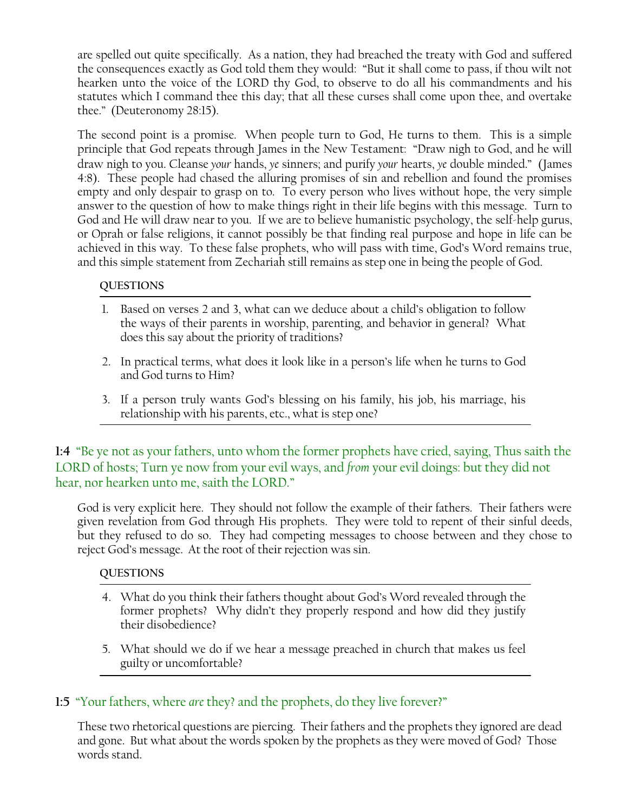are spelled out quite specifically. As a nation, they had breached the treaty with God and suffered the consequences exactly as God told them they would: "But it shall come to pass, if thou wilt not hearken unto the voice of the LORD thy God, to observe to do all his commandments and his statutes which I command thee this day; that all these curses shall come upon thee, and overtake thee." (Deuteronomy 28:15).

The second point is a promise. When people turn to God, He turns to them. This is a simple principle that God repeats through James in the New Testament: "Draw nigh to God, and he will draw nigh to you. Cleanse *your* hands, *ye* sinners; and purify *your* hearts, *ye* double minded." (James 4:8). These people had chased the alluring promises of sin and rebellion and found the promises empty and only despair to grasp on to. To every person who lives without hope, the very simple answer to the question of how to make things right in their life begins with this message. Turn to God and He will draw near to you. If we are to believe humanistic psychology, the self-help gurus, or Oprah or false religions, it cannot possibly be that finding real purpose and hope in life can be achieved in this way. To these false prophets, who will pass with time, God's Word remains true, and this simple statement from Zechariah still remains as step one in being the people of God.

### **QUESTIONS**

- 1. Based on verses 2 and 3, what can we deduce about a child"s obligation to follow the ways of their parents in worship, parenting, and behavior in general? What does this say about the priority of traditions?
- 2. In practical terms, what does it look like in a person"s life when he turns to God and God turns to Him?
- 3. If a person truly wants God"s blessing on his family, his job, his marriage, his relationship with his parents, etc., what is step one?

**1:4** "Be ye not as your fathers, unto whom the former prophets have cried, saying, Thus saith the LORD of hosts; Turn ye now from your evil ways, and *from* your evil doings: but they did not hear, nor hearken unto me, saith the LORD."

God is very explicit here. They should not follow the example of their fathers. Their fathers were given revelation from God through His prophets. They were told to repent of their sinful deeds, but they refused to do so. They had competing messages to choose between and they chose to reject God"s message. At the root of their rejection was sin.

#### **QUESTIONS**

- 4. What do you think their fathers thought about God"s Word revealed through the former prophets? Why didn"t they properly respond and how did they justify their disobedience?
- 5. What should we do if we hear a message preached in church that makes us feel guilty or uncomfortable?

# **1:5** "Your fathers, where *are* they? and the prophets, do they live forever?"

These two rhetorical questions are piercing. Their fathers and the prophets they ignored are dead and gone. But what about the words spoken by the prophets as they were moved of God? Those words stand.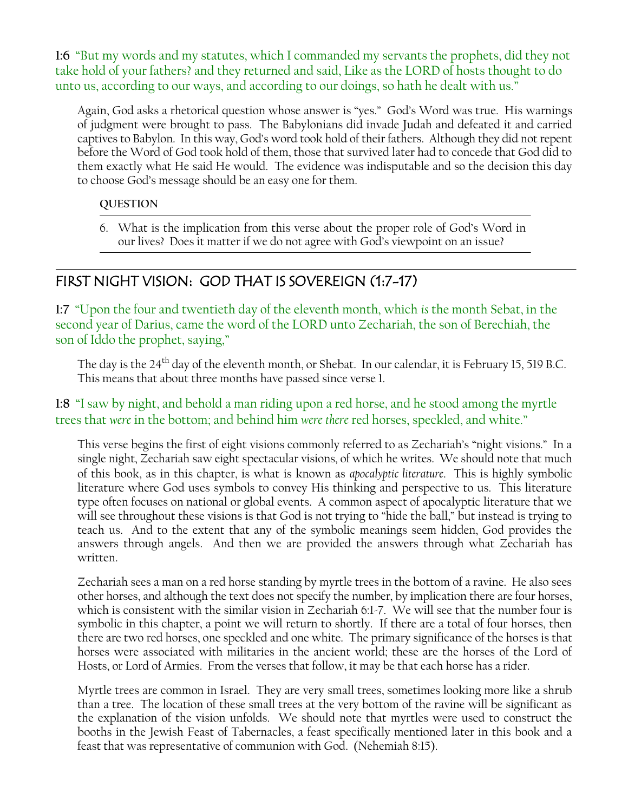**1:6** "But my words and my statutes, which I commanded my servants the prophets, did they not take hold of your fathers? and they returned and said, Like as the LORD of hosts thought to do unto us, according to our ways, and according to our doings, so hath he dealt with us."

Again, God asks a rhetorical question whose answer is "yes." God"s Word was true. His warnings of judgment were brought to pass. The Babylonians did invade Judah and defeated it and carried captives to Babylon. In this way, God"s word took hold of their fathers. Although they did not repent before the Word of God took hold of them, those that survived later had to concede that God did to them exactly what He said He would. The evidence was indisputable and so the decision this day to choose God"s message should be an easy one for them.

### **QUESTION**

6. What is the implication from this verse about the proper role of God"s Word in our lives? Does it matter if we do not agree with God"s viewpoint on an issue?

# FIRST NIGHT VISION: GOD THAT IS SOVEREIGN (1:7-17)

**1:7** "Upon the four and twentieth day of the eleventh month, which *is* the month Sebat, in the second year of Darius, came the word of the LORD unto Zechariah, the son of Berechiah, the son of Iddo the prophet, saying,"

The day is the 24<sup>th</sup> day of the eleventh month, or Shebat. In our calendar, it is February 15, 519 B.C. This means that about three months have passed since verse 1.

# **1:8** "I saw by night, and behold a man riding upon a red horse, and he stood among the myrtle trees that *were* in the bottom; and behind him *were there* red horses, speckled, and white."

This verse begins the first of eight visions commonly referred to as Zechariah's "night visions." In a single night, Zechariah saw eight spectacular visions, of which he writes. We should note that much of this book, as in this chapter, is what is known as *apocalyptic literature*. This is highly symbolic literature where God uses symbols to convey His thinking and perspective to us. This literature type often focuses on national or global events. A common aspect of apocalyptic literature that we will see throughout these visions is that God is not trying to "hide the ball," but instead is trying to teach us. And to the extent that any of the symbolic meanings seem hidden, God provides the answers through angels. And then we are provided the answers through what Zechariah has written.

Zechariah sees a man on a red horse standing by myrtle trees in the bottom of a ravine. He also sees other horses, and although the text does not specify the number, by implication there are four horses, which is consistent with the similar vision in Zechariah 6:1-7. We will see that the number four is symbolic in this chapter, a point we will return to shortly. If there are a total of four horses, then there are two red horses, one speckled and one white. The primary significance of the horses is that horses were associated with militaries in the ancient world; these are the horses of the Lord of Hosts, or Lord of Armies. From the verses that follow, it may be that each horse has a rider.

Myrtle trees are common in Israel. They are very small trees, sometimes looking more like a shrub than a tree. The location of these small trees at the very bottom of the ravine will be significant as the explanation of the vision unfolds. We should note that myrtles were used to construct the booths in the Jewish Feast of Tabernacles, a feast specifically mentioned later in this book and a feast that was representative of communion with God. (Nehemiah 8:15).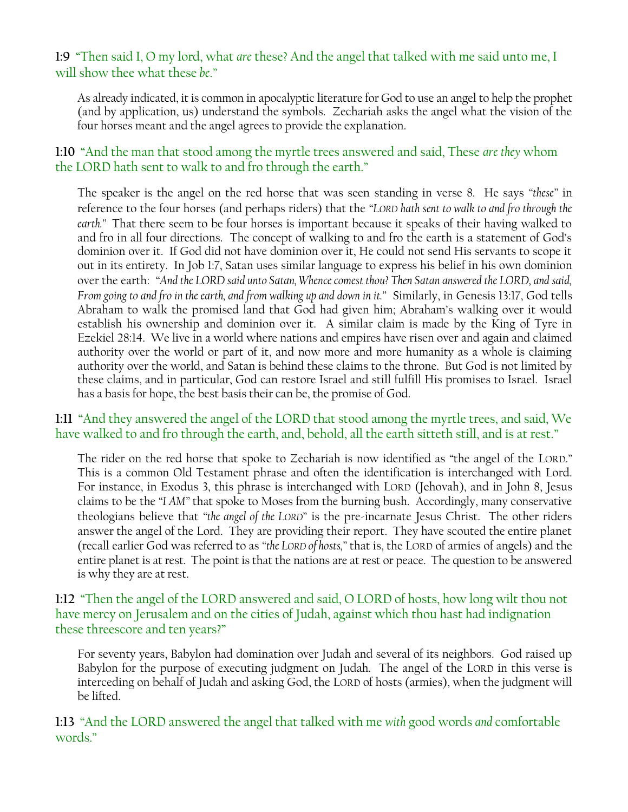# **1:9** "Then said I, O my lord, what *are* these? And the angel that talked with me said unto me, I will show thee what these *be*."

As already indicated, it is common in apocalyptic literature for God to use an angel to help the prophet (and by application, us) understand the symbols. Zechariah asks the angel what the vision of the four horses meant and the angel agrees to provide the explanation.

# **1:10** "And the man that stood among the myrtle trees answered and said, These *are they* whom the LORD hath sent to walk to and fro through the earth."

The speaker is the angel on the red horse that was seen standing in verse 8. He says *"these"* in reference to the four horses (and perhaps riders) that the *"LORD hath sent to walk to and fro through the earth."* That there seem to be four horses is important because it speaks of their having walked to and fro in all four directions. The concept of walking to and fro the earth is a statement of God"s dominion over it. If God did not have dominion over it, He could not send His servants to scope it out in its entirety. In Job 1:7, Satan uses similar language to express his belief in his own dominion over the earth: *"And the LORD said unto Satan, Whence comest thou? Then Satan answered the LORD, and said, From going to and fro in the earth, and from walking up and down in it."* Similarly, in Genesis 13:17, God tells Abraham to walk the promised land that God had given him; Abraham"s walking over it would establish his ownership and dominion over it. A similar claim is made by the King of Tyre in Ezekiel 28:14. We live in a world where nations and empires have risen over and again and claimed authority over the world or part of it, and now more and more humanity as a whole is claiming authority over the world, and Satan is behind these claims to the throne. But God is not limited by these claims, and in particular, God can restore Israel and still fulfill His promises to Israel. Israel has a basis for hope, the best basis their can be, the promise of God.

# **1:11** "And they answered the angel of the LORD that stood among the myrtle trees, and said, We have walked to and fro through the earth, and, behold, all the earth sitteth still, and is at rest."

The rider on the red horse that spoke to Zechariah is now identified as "the angel of the LORD." This is a common Old Testament phrase and often the identification is interchanged with Lord. For instance, in Exodus 3, this phrase is interchanged with LORD (Jehovah), and in John 8, Jesus claims to be the *"I AM"* that spoke to Moses from the burning bush. Accordingly, many conservative theologians believe that *"the angel of the LORD*" is the pre-incarnate Jesus Christ. The other riders answer the angel of the Lord. They are providing their report. They have scouted the entire planet (recall earlier God was referred to as *"the LORD of hosts,"* that is, the LORD of armies of angels) and the entire planet is at rest. The point is that the nations are at rest or peace. The question to be answered is why they are at rest.

# **1:12** "Then the angel of the LORD answered and said, O LORD of hosts, how long wilt thou not have mercy on Jerusalem and on the cities of Judah, against which thou hast had indignation these threescore and ten years?"

For seventy years, Babylon had domination over Judah and several of its neighbors. God raised up Babylon for the purpose of executing judgment on Judah. The angel of the LORD in this verse is interceding on behalf of Judah and asking God, the LORD of hosts (armies), when the judgment will be lifted.

## **1:13** "And the LORD answered the angel that talked with me *with* good words *and* comfortable words."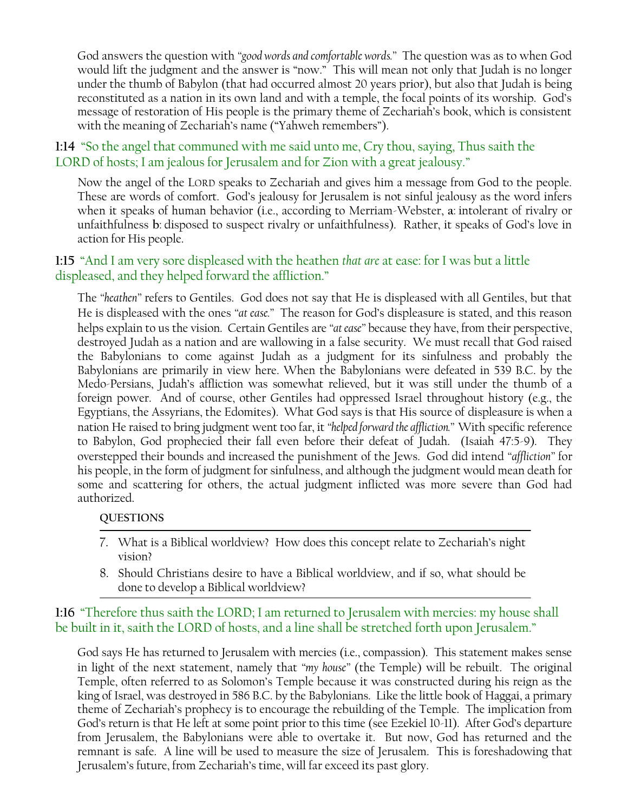God answers the question with *"good words and comfortable words."* The question was as to when God would lift the judgment and the answer is "now." This will mean not only that Judah is no longer under the thumb of Babylon (that had occurred almost 20 years prior), but also that Judah is being reconstituted as a nation in its own land and with a temple, the focal points of its worship. God"s message of restoration of His people is the primary theme of Zechariah"s book, which is consistent with the meaning of Zechariah's name ("Yahweh remembers").

# **1:14** "So the angel that communed with me said unto me, Cry thou, saying, Thus saith the LORD of hosts; I am jealous for Jerusalem and for Zion with a great jealousy."

Now the angel of the LORD speaks to Zechariah and gives him a message from God to the people. These are words of comfort. God"s jealousy for Jerusalem is not sinful jealousy as the word infers when it speaks of human behavior (i.e., according to Merriam-Webster, **a**: intolerant of rivalry or unfaithfulness **b**: disposed to suspect rivalry or unfaithfulness). Rather, it speaks of God"s love in action for His people.

# **1:15** "And I am very sore displeased with the heathen *that are* at ease: for I was but a little displeased, and they helped forward the affliction."

The *"heathen"* refers to Gentiles. God does not say that He is displeased with all Gentiles, but that He is displeased with the ones *"at ease."* The reason for God"s displeasure is stated, and this reason helps explain to us the vision. Certain Gentiles are *"at ease"* because they have, from their perspective, destroyed Judah as a nation and are wallowing in a false security. We must recall that God raised the Babylonians to come against Judah as a judgment for its sinfulness and probably the Babylonians are primarily in view here. When the Babylonians were defeated in 539 B.C. by the Medo-Persians, Judah"s affliction was somewhat relieved, but it was still under the thumb of a foreign power. And of course, other Gentiles had oppressed Israel throughout history (e.g., the Egyptians, the Assyrians, the Edomites). What God says is that His source of displeasure is when a nation He raised to bring judgment went too far, it *"helped forward the affliction."* With specific reference to Babylon, God prophecied their fall even before their defeat of Judah. (Isaiah 47:5-9). They overstepped their bounds and increased the punishment of the Jews. God did intend *"affliction"* for his people, in the form of judgment for sinfulness, and although the judgment would mean death for some and scattering for others, the actual judgment inflicted was more severe than God had authorized.

#### **QUESTIONS**

- 7. What is a Biblical worldview? How does this concept relate to Zechariah"s night vision?
- 8. Should Christians desire to have a Biblical worldview, and if so, what should be done to develop a Biblical worldview?

# **1:16** "Therefore thus saith the LORD; I am returned to Jerusalem with mercies: my house shall be built in it, saith the LORD of hosts, and a line shall be stretched forth upon Jerusalem."

God says He has returned to Jerusalem with mercies (i.e., compassion). This statement makes sense in light of the next statement, namely that *"my house"* (the Temple) will be rebuilt. The original Temple, often referred to as Solomon"s Temple because it was constructed during his reign as the king of Israel, was destroyed in 586 B.C. by the Babylonians. Like the little book of Haggai, a primary theme of Zechariah"s prophecy is to encourage the rebuilding of the Temple. The implication from God"s return is that He left at some point prior to this time (see Ezekiel 10-11). After God"s departure from Jerusalem, the Babylonians were able to overtake it. But now, God has returned and the remnant is safe. A line will be used to measure the size of Jerusalem. This is foreshadowing that Jerusalem"s future, from Zechariah"s time, will far exceed its past glory.